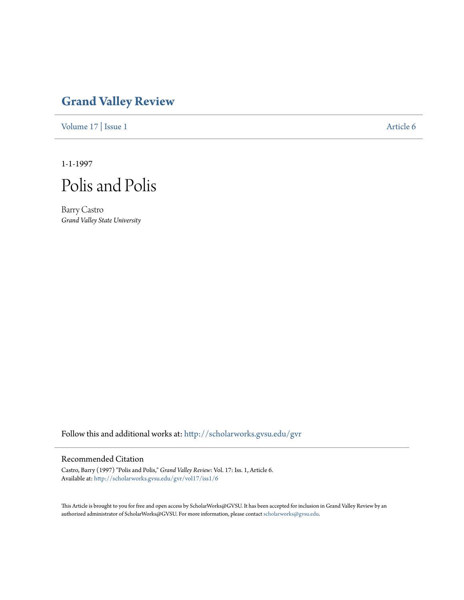# **[Grand Valley Review](http://scholarworks.gvsu.edu/gvr?utm_source=scholarworks.gvsu.edu%2Fgvr%2Fvol17%2Fiss1%2F6&utm_medium=PDF&utm_campaign=PDFCoverPages)**

[Volume 17](http://scholarworks.gvsu.edu/gvr/vol17?utm_source=scholarworks.gvsu.edu%2Fgvr%2Fvol17%2Fiss1%2F6&utm_medium=PDF&utm_campaign=PDFCoverPages) | [Issue 1](http://scholarworks.gvsu.edu/gvr/vol17/iss1?utm_source=scholarworks.gvsu.edu%2Fgvr%2Fvol17%2Fiss1%2F6&utm_medium=PDF&utm_campaign=PDFCoverPages) [Article 6](http://scholarworks.gvsu.edu/gvr/vol17/iss1/6?utm_source=scholarworks.gvsu.edu%2Fgvr%2Fvol17%2Fiss1%2F6&utm_medium=PDF&utm_campaign=PDFCoverPages)

1-1-1997

Polis and Polis

Barry Castro *Grand Valley State University*

Follow this and additional works at: [http://scholarworks.gvsu.edu/gvr](http://scholarworks.gvsu.edu/gvr?utm_source=scholarworks.gvsu.edu%2Fgvr%2Fvol17%2Fiss1%2F6&utm_medium=PDF&utm_campaign=PDFCoverPages)

## Recommended Citation

Castro, Barry (1997) "Polis and Polis," *Grand Valley Review*: Vol. 17: Iss. 1, Article 6. Available at: [http://scholarworks.gvsu.edu/gvr/vol17/iss1/6](http://scholarworks.gvsu.edu/gvr/vol17/iss1/6?utm_source=scholarworks.gvsu.edu%2Fgvr%2Fvol17%2Fiss1%2F6&utm_medium=PDF&utm_campaign=PDFCoverPages)

This Article is brought to you for free and open access by ScholarWorks@GVSU. It has been accepted for inclusion in Grand Valley Review by an authorized administrator of ScholarWorks@GVSU. For more information, please contact [scholarworks@gvsu.edu.](mailto:scholarworks@gvsu.edu)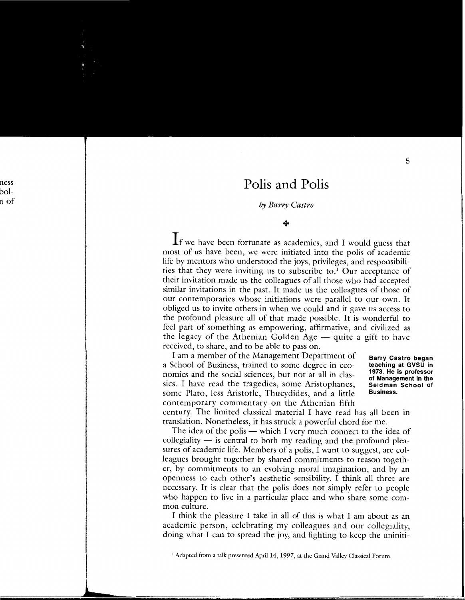# **Polis and Polis**

### *by Barry Castro*

#### +

If we have been fortunate as academics, and I would guess that most of us have been, we were initiated into the polis of academic life by mentors who understood the joys, privileges, and responsibilities that they were inviting us to subscribe to.' Our acceptance of their invitation made us the colleagues of all those who had accepted similar invitations in the past. It made us the colleagues of those of our contemporaries whose initiations were parallel to our own. It obliged us to invite others in when we could and it gave us access to the profound pleasure all of that made possible. It is wonderful to feel part of something as empowering, affirmative, and civilized as the legacy of the Athenian Golden Age  $-$  quite a gift to have received, to share, and to be able to pass on.

I am a member of the Management Department of a School of Business, trained to some degree in economics and the social sciences, but not at all in classics. I have read the tragedies, some Aristophanes, some Plato, less Aristotle, Thucydides, and a little contemporary commentary on the Athenian fifth

**Barry Castro began teaching at GVSU in 1973. He is professor of Management in the Seidman School of Business.** 

century. The limited classical material I have read has all been in translation. Nonetheless, it has struck a powerful chord for me.

The idea of the polis - which I very much connect to the idea of collegiality  $-$  is central to both my reading and the profound pleasures of academic life. Members of a polis, I want to suggest, are colleagues brought together by shared commitments to reason together, by commitments to an evolving moral imagination, and by an openness to each other's aesthetic sensibility. I think all three are necessary. It is clear that the polis does not simply refer to people who happen to live in a particular place and who share some common culture.

I think the pleasure I take in all of this is what I am about as an academic person, celebrating my colleagues and our collegiality, doing what I can to spread the joy, and fighting to keep the uniniti-

 $1$  Adapted from a talk presented April 14, 1997, at the Grand Valley Classical Forum.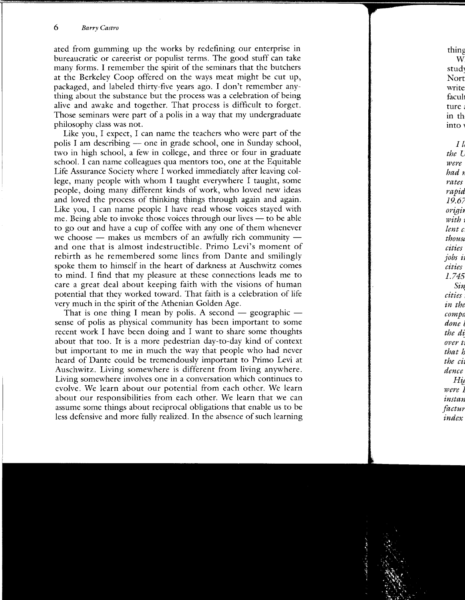ated from gumming up the works by redefining our enterprise in bureaucratic or careerist or populist terms. The good stuff can take many forms. I remember the spirit of the seminars that the butchers at the Berkeley Coop offered on the ways meat might be cut up, packaged, and labeled thirty-five years ago. I don't remember anything about the substance but the process was a celebration of being alive and awake and together. That process is difficult to forget. Those seminars were part of a polis in a way that my undergraduate philosophy class was not.

Like you, I expect, I can name the teachers who were part of the polis I am describing  $-$  one in grade school, one in Sunday school, two in high school, a few in college, and three or four in graduate school. I can name colleagues qua mentors too, one at the Equitable Life Assurance Society where I worked immediately after leaving college, many people with whom I taught everywhere I taught, some people, doing many different kinds of work, who loved new ideas and loved the process of thinking things through again and again. Like you, I can name people I have read whose voices stayed with me. Being able to invoke those voices through our lives — to be able to go out and have a cup of coffee with any one of them whenever we choose  $-$  makes us members of an awfully rich community  $$ and one that is almost indestructible. Primo Levi's moment of rebirth as he remembered some lines from Dante and smilingly spoke them to himself in the heart of darkness at Auschwitz comes to mind. I find that my pleasure at these connections leads me to care a great deal about keeping faith with the visions of human potential that they worked toward. That faith is a celebration of life very much in the spirit of the Athenian Golden Age.

That is one thing I mean by polis. A second  $-$  geographic  $$ sense of polis as physical community has been important to some recent work I have been doing and I want to share some thoughts about that too. It is a more pedestrian day-to-day kind of context but important to me in much the way that people who had never heard of Dante could be tremendously important to Primo Levi at Auschwitz. Living somewhere is different from living anywhere. Living somewhere involves one in a conversation which continues to evolve. We learn about our potential from each other. We learn about our responsibilities from each other. We learn that we can assume some things about reciprocal obligations that enable us to be less defensive and more fully realized. In the absence of such learning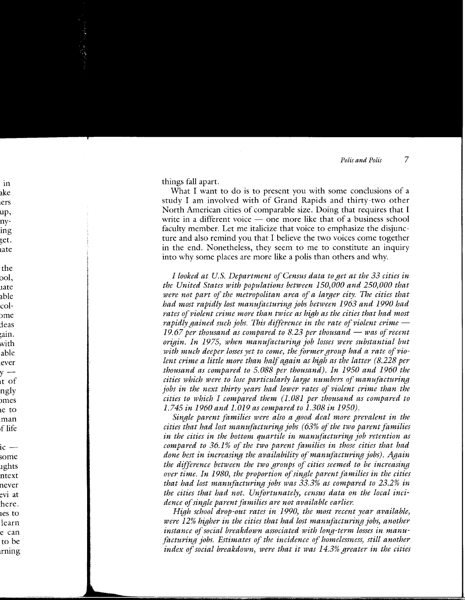things fall apart.

What I want to do is to present you with some conclusions of a study I am involved with of Grand Rapids and thirty-two other North American cities of comparable size. Doing that requires that I write in a different voice  $\frac{1}{x}$  one more like that of a business school faculty member. Let me italicize that voice to emphasize the disjuncture and also remind you that I believe the two voices come together in the end. Nonetheless, they seem to me to constitute an inquiry into why some places are more like a polis than others and why.

*I looked at U.S. Department of Census data to get at the 33 cities in the United States with populations between 150,000 and 250,000 that*  were not part of the metropolitan area of a larger city. The cities that *had most rapidly lost manufacturing jobs between 1963 and 1990 had rates of violent crime more than twice as high as the cities that had most rapidly gained such jobs. This difference in the rate of violent crime – 19.67 per thousand as compared to 8.23 per thousand- was of recent origin. In 1975, when manufacturing job losses were substantial but with much deeper losses yet to come, the former group had a rate of violent crime a little more than half again as high as the latter (8.228 per thousand as compared to 5.088 per thousand). In 1950 and 1960 the cities which were to lose particularly la'l'lfe numbers of manufacturing jobs in the next thirty years had lower rates of violent crime than the cities to which I compared them (1.081 per thousand as compared to 1.745 in 1960 and 1.019 as compared to 1.308 in 1950).* 

*Single parent families were also a good deal more prevalent in the cities that had lost manufacturing jobs ( 63% of the two parent families in the cities in the bottom quartile in manufacturing job retention as compared to 36.1% of the two parent families in those cities that had done best in increasing the availability of manufacturing jobs). Again the difference between the two groups of cities seemed to be increasing over time. In 1980, the proportion of single parent families in the cities that had lost manufacturing jobs was 33.3% as compared to 23.2% in the cities that had not. Unfortunately, census data on the local incidence of single parent families are not available earlier.* 

*High school drop-out rates in 1990, the most recent year available, were 12% higher in the cities that had lost manufacturing jobs, another instance of social breakdown associated with long-term losses in manufacturing jobs. Estimates of the incidence of homelessness, still another index of social breakdown, were that it was 14.3% greater in the cities*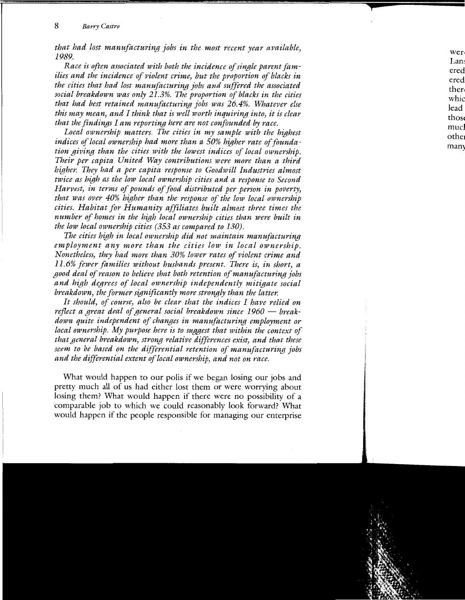*that had lost manufacturing jobs in the most recent year available, 1989.* 

*Race is often associated with both the incidence of single parent families and the incidence of violent crime, but the proportion of blacks in the cities that had lost manufacturing jobs and suffered the associated social breakdown was only 21.3%. The proportion of blacks in the cities that had best retained manufacturing jobs was 26.4%. Whatever else this may mean, and I think that is well worth inquiring into, it is clear that the findings I am reporting here are not confounded by race.* 

Local ownership matters. The cities in my sample with the highest *indices of local ownership had more than a 50% higher rate of foundation giving than the cities with the lowest indices of local ownership. Their per capita United Way contributions were more than a third higher. They had a per capita response to Goodwill Industries almost twice as high as the low local ownership cities and a response to Second Harvest, in terms of pounds of food distributed per person in poverty, that was over 40% higher than the response of the low local ownership cities. Habitat for Humanity affiliates built almost three times the number of homes in the high local ownership cities than were built in the low local ownership cities (353 as compared to 130).* 

*The cities high in local ownership did not maintain manufacturing employment any more than the cities low in local ownership. Nonetheless, they had more than 30% lower rates of violent crime and 11.6% fewer families without husbands present. There is, in short, a good deal of reason to believe that both retention of manufacturing jobs and high degrees of local ownership independently mitigate social breakdown, the former significantly more strongly than the latter.* 

*It should, of course, also be clear that the indices I have relied on*  reflect a great deal of general social breakdown since 1960 – break*down quite independent of changes in manufacturing employment or local ownership. My purpose here is to suggest that within the context of that general breakdown, strong relative differences exist, and that these seem to be based on the differential retention of manufacturing jobs and the differential extent of local ownership, and not on race.* 

What would happen to our polis if we began losing our jobs and pretty much all of us had either lost them or were worrying about losing them? What would happen if there were no possibility of a comparable job to which we could reasonably look forward? What would happen if the people responsible for managing our enterprise